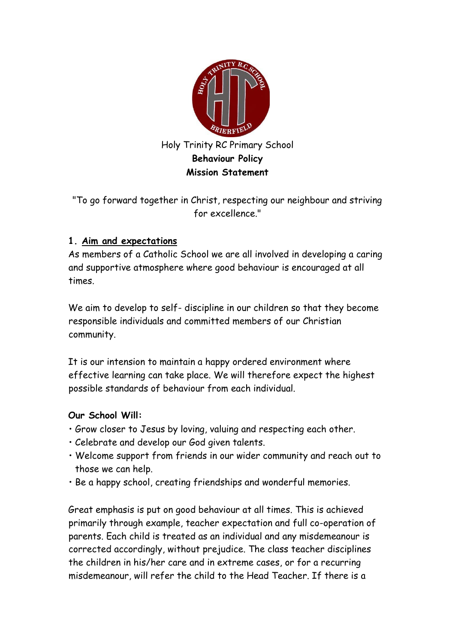

"To go forward together in Christ, respecting our neighbour and striving for excellence."

# **1. Aim and expectations**

As members of a Catholic School we are all involved in developing a caring and supportive atmosphere where good behaviour is encouraged at all times.

We aim to develop to self- discipline in our children so that they become responsible individuals and committed members of our Christian community.

It is our intension to maintain a happy ordered environment where effective learning can take place. We will therefore expect the highest possible standards of behaviour from each individual.

# **Our School Will:**

- Grow closer to Jesus by loving, valuing and respecting each other.
- Celebrate and develop our God given talents.
- Welcome support from friends in our wider community and reach out to those we can help.
- Be a happy school, creating friendships and wonderful memories.

Great emphasis is put on good behaviour at all times. This is achieved primarily through example, teacher expectation and full co-operation of parents. Each child is treated as an individual and any misdemeanour is corrected accordingly, without prejudice. The class teacher disciplines the children in his/her care and in extreme cases, or for a recurring misdemeanour, will refer the child to the Head Teacher. If there is a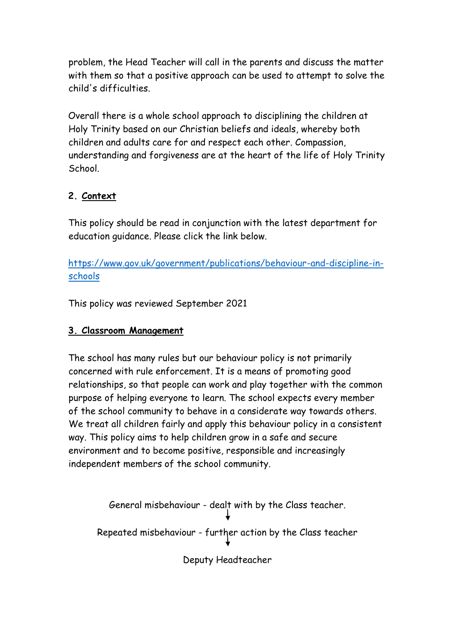problem, the Head Teacher will call in the parents and discuss the matter with them so that a positive approach can be used to attempt to solve the child's difficulties.

Overall there is a whole school approach to disciplining the children at Holy Trinity based on our Christian beliefs and ideals, whereby both children and adults care for and respect each other. Compassion, understanding and forgiveness are at the heart of the life of Holy Trinity School.

# **2. Context**

This policy should be read in conjunction with the latest department for education guidance. Please click the link below.

[https://www.gov.uk/government/publications/behaviour-and-discipline-in](https://www.gov.uk/government/publications/behaviour-and-discipline-in-schools)[schools](https://www.gov.uk/government/publications/behaviour-and-discipline-in-schools)

This policy was reviewed September 2021

# **3. Classroom Management**

The school has many rules but our behaviour policy is not primarily concerned with rule enforcement. It is a means of promoting good relationships, so that people can work and play together with the common purpose of helping everyone to learn. The school expects every member of the school community to behave in a considerate way towards others. We treat all children fairly and apply this behaviour policy in a consistent way. This policy aims to help children grow in a safe and secure environment and to become positive, responsible and increasingly independent members of the school community.

General misbehaviour - dealt with by the Class teacher.

Repeated misbehaviour - further action by the Class teacher

Deputy Headteacher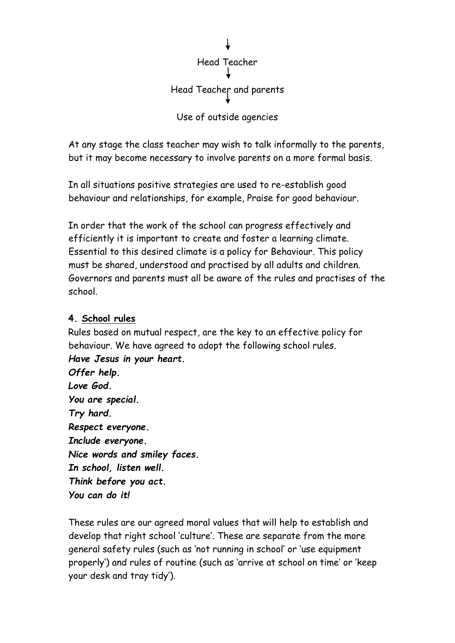

At any stage the class teacher may wish to talk informally to the parents, but it may become necessary to involve parents on a more formal basis.

In all situations positive strategies are used to re-establish good behaviour and relationships, for example, Praise for good behaviour.

In order that the work of the school can progress effectively and efficiently it is important to create and foster a learning climate. Essential to this desired climate is a policy for Behaviour. This policy must be shared, understood and practised by all adults and children. Governors and parents must all be aware of the rules and practises of the school.

### **4. School rules**

Rules based on mutual respect, are the key to an effective policy for behaviour. We have agreed to adopt the following school rules. *Have Jesus in your heart.* 

*Offer help. Love God. You are special. Try hard. Respect everyone. Include everyone. Nice words and smiley faces. In school, listen well. Think before you act. You can do it!* 

These rules are our agreed moral values that will help to establish and develop that right school 'culture'. These are separate from the more general safety rules (such as 'not running in school' or 'use equipment properly') and rules of routine (such as 'arrive at school on time' or 'keep your desk and tray tidy').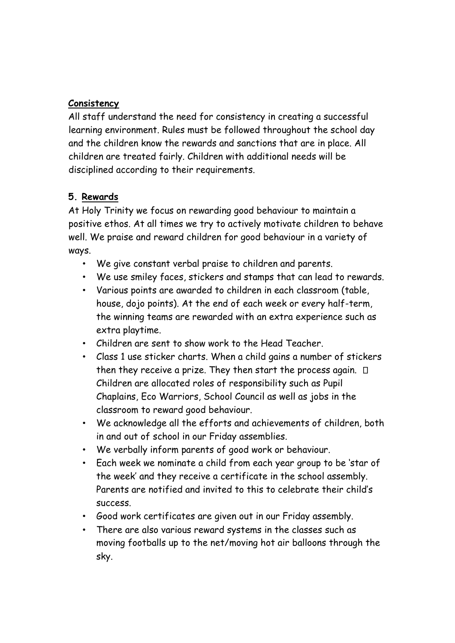# **Consistency**

All staff understand the need for consistency in creating a successful learning environment. Rules must be followed throughout the school day and the children know the rewards and sanctions that are in place. All children are treated fairly. Children with additional needs will be disciplined according to their requirements.

# **5. Rewards**

At Holy Trinity we focus on rewarding good behaviour to maintain a positive ethos. At all times we try to actively motivate children to behave well. We praise and reward children for good behaviour in a variety of ways.

- We give constant verbal praise to children and parents.
- We use smiley faces, stickers and stamps that can lead to rewards.
- Various points are awarded to children in each classroom (table, house, dojo points). At the end of each week or every half-term, the winning teams are rewarded with an extra experience such as extra playtime.
- Children are sent to show work to the Head Teacher.
- Class 1 use sticker charts. When a child gains a number of stickers then they receive a prize. They then start the process again.  $\Box$ Children are allocated roles of responsibility such as Pupil Chaplains, Eco Warriors, School Council as well as jobs in the classroom to reward good behaviour.
- We acknowledge all the efforts and achievements of children, both in and out of school in our Friday assemblies.
- We verbally inform parents of good work or behaviour.
- Each week we nominate a child from each year group to be 'star of the week' and they receive a certificate in the school assembly. Parents are notified and invited to this to celebrate their child's success.
- Good work certificates are given out in our Friday assembly.
- There are also various reward systems in the classes such as moving footballs up to the net/moving hot air balloons through the sky.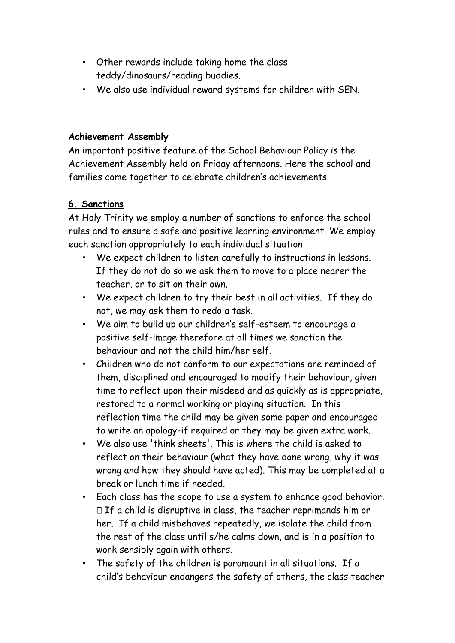- Other rewards include taking home the class teddy/dinosaurs/reading buddies.
- We also use individual reward systems for children with SEN.

### **Achievement Assembly**

An important positive feature of the School Behaviour Policy is the Achievement Assembly held on Friday afternoons. Here the school and families come together to celebrate children's achievements.

### **6. Sanctions**

At Holy Trinity we employ a number of sanctions to enforce the school rules and to ensure a safe and positive learning environment. We employ each sanction appropriately to each individual situation

- We expect children to listen carefully to instructions in lessons. If they do not do so we ask them to move to a place nearer the teacher, or to sit on their own.
- We expect children to try their best in all activities. If they do not, we may ask them to redo a task.
- We aim to build up our children's self-esteem to encourage a positive self-image therefore at all times we sanction the behaviour and not the child him/her self.
- Children who do not conform to our expectations are reminded of them, disciplined and encouraged to modify their behaviour, given time to reflect upon their misdeed and as quickly as is appropriate, restored to a normal working or playing situation. In this reflection time the child may be given some paper and encouraged to write an apology-if required or they may be given extra work.
- We also use 'think sheets'. This is where the child is asked to reflect on their behaviour (what they have done wrong, why it was wrong and how they should have acted). This may be completed at a break or lunch time if needed.
- Each class has the scope to use a system to enhance good behavior.  $\Box$  If a child is disruptive in class, the teacher reprimands him or her. If a child misbehaves repeatedly, we isolate the child from the rest of the class until s/he calms down, and is in a position to work sensibly again with others.
- The safety of the children is paramount in all situations. If a child's behaviour endangers the safety of others, the class teacher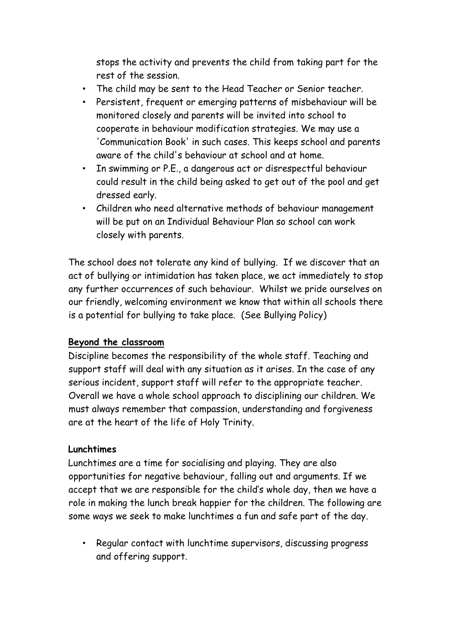stops the activity and prevents the child from taking part for the rest of the session.

- The child may be sent to the Head Teacher or Senior teacher.
- Persistent, frequent or emerging patterns of misbehaviour will be monitored closely and parents will be invited into school to cooperate in behaviour modification strategies. We may use a 'Communication Book' in such cases. This keeps school and parents aware of the child's behaviour at school and at home.
- In swimming or P.E., a dangerous act or disrespectful behaviour could result in the child being asked to get out of the pool and get dressed early.
- Children who need alternative methods of behaviour management will be put on an Individual Behaviour Plan so school can work closely with parents.

The school does not tolerate any kind of bullying. If we discover that an act of bullying or intimidation has taken place, we act immediately to stop any further occurrences of such behaviour. Whilst we pride ourselves on our friendly, welcoming environment we know that within all schools there is a potential for bullying to take place. (See Bullying Policy)

### **Beyond the classroom**

Discipline becomes the responsibility of the whole staff. Teaching and support staff will deal with any situation as it arises. In the case of any serious incident, support staff will refer to the appropriate teacher. Overall we have a whole school approach to disciplining our children. We must always remember that compassion, understanding and forgiveness are at the heart of the life of Holy Trinity.

### **Lunchtimes**

Lunchtimes are a time for socialising and playing. They are also opportunities for negative behaviour, falling out and arguments. If we accept that we are responsible for the child's whole day, then we have a role in making the lunch break happier for the children. The following are some ways we seek to make lunchtimes a fun and safe part of the day.

• Regular contact with lunchtime supervisors, discussing progress and offering support.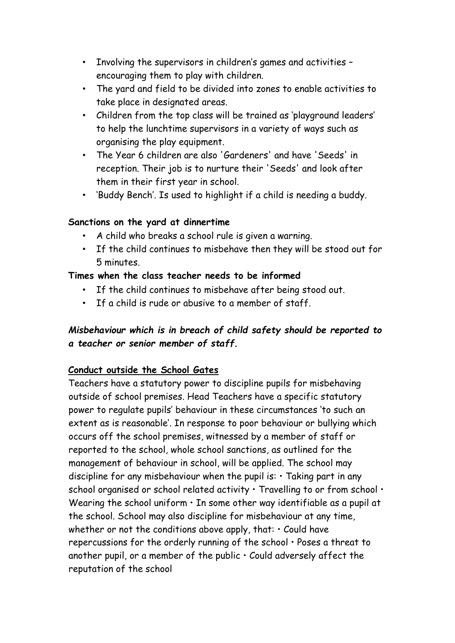- Involving the supervisors in children's games and activities encouraging them to play with children.
- The yard and field to be divided into zones to enable activities to take place in designated areas.
- Children from the top class will be trained as 'playground leaders' to help the lunchtime supervisors in a variety of ways such as organising the play equipment.
- The Year 6 children are also 'Gardeners' and have 'Seeds' in reception. Their job is to nurture their 'Seeds' and look after them in their first year in school.
- 'Buddy Bench'. Is used to highlight if a child is needing a buddy.

### **Sanctions on the yard at dinnertime**

- A child who breaks a school rule is given a warning.
- If the child continues to misbehave then they will be stood out for 5 minutes.

### **Times when the class teacher needs to be informed**

- If the child continues to misbehave after being stood out.
- If a child is rude or abusive to a member of staff.

### *Misbehaviour which is in breach of child safety should be reported to a teacher or senior member of staff.*

### **Conduct outside the School Gates**

Teachers have a statutory power to discipline pupils for misbehaving outside of school premises. Head Teachers have a specific statutory power to regulate pupils' behaviour in these circumstances 'to such an extent as is reasonable'. In response to poor behaviour or bullying which occurs off the school premises, witnessed by a member of staff or reported to the school, whole school sanctions, as outlined for the management of behaviour in school, will be applied. The school may discipline for any misbehaviour when the pupil is:  $\cdot$  Taking part in any school organised or school related activity  $\cdot$  Travelling to or from school  $\cdot$ Wearing the school uniform  $\cdot$  In some other way identifiable as a pupil at the school. School may also discipline for misbehaviour at any time, whether or not the conditions above apply, that:  $\cdot$  Could have repercussions for the orderly running of the school • Poses a threat to another pupil, or a member of the public  $\cdot$  Could adversely affect the reputation of the school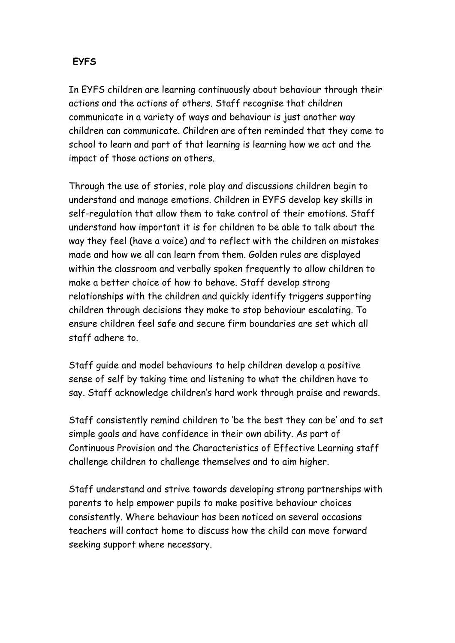# **EYFS**

In EYFS children are learning continuously about behaviour through their actions and the actions of others. Staff recognise that children communicate in a variety of ways and behaviour is just another way children can communicate. Children are often reminded that they come to school to learn and part of that learning is learning how we act and the impact of those actions on others.

Through the use of stories, role play and discussions children begin to understand and manage emotions. Children in EYFS develop key skills in self-regulation that allow them to take control of their emotions. Staff understand how important it is for children to be able to talk about the way they feel (have a voice) and to reflect with the children on mistakes made and how we all can learn from them. Golden rules are displayed within the classroom and verbally spoken frequently to allow children to make a better choice of how to behave. Staff develop strong relationships with the children and quickly identify triggers supporting children through decisions they make to stop behaviour escalating. To ensure children feel safe and secure firm boundaries are set which all staff adhere to.

Staff guide and model behaviours to help children develop a positive sense of self by taking time and listening to what the children have to say. Staff acknowledge children's hard work through praise and rewards.

Staff consistently remind children to 'be the best they can be' and to set simple goals and have confidence in their own ability. As part of Continuous Provision and the Characteristics of Effective Learning staff challenge children to challenge themselves and to aim higher.

Staff understand and strive towards developing strong partnerships with parents to help empower pupils to make positive behaviour choices consistently. Where behaviour has been noticed on several occasions teachers will contact home to discuss how the child can move forward seeking support where necessary.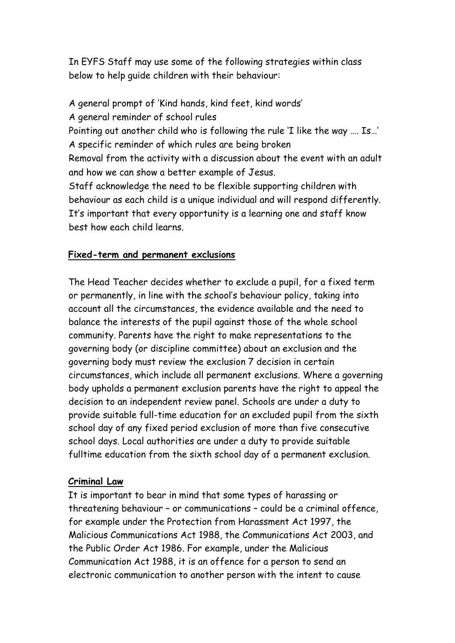In EYFS Staff may use some of the following strategies within class below to help guide children with their behaviour:

A general prompt of 'Kind hands, kind feet, kind words' A general reminder of school rules Pointing out another child who is following the rule 'I like the way …. Is…' A specific reminder of which rules are being broken Removal from the activity with a discussion about the event with an adult and how we can show a better example of Jesus. Staff acknowledge the need to be flexible supporting children with behaviour as each child is a unique individual and will respond differently. It's important that every opportunity is a learning one and staff know best how each child learns.

#### **Fixed-term and permanent exclusions**

The Head Teacher decides whether to exclude a pupil, for a fixed term or permanently, in line with the school's behaviour policy, taking into account all the circumstances, the evidence available and the need to balance the interests of the pupil against those of the whole school community. Parents have the right to make representations to the governing body (or discipline committee) about an exclusion and the governing body must review the exclusion 7 decision in certain circumstances, which include all permanent exclusions. Where a governing body upholds a permanent exclusion parents have the right to appeal the decision to an independent review panel. Schools are under a duty to provide suitable full-time education for an excluded pupil from the sixth school day of any fixed period exclusion of more than five consecutive school days. Local authorities are under a duty to provide suitable fulltime education from the sixth school day of a permanent exclusion.

#### **Criminal Law**

It is important to bear in mind that some types of harassing or threatening behaviour – or communications – could be a criminal offence, for example under the Protection from Harassment Act 1997, the Malicious Communications Act 1988, the Communications Act 2003, and the Public Order Act 1986. For example, under the Malicious Communication Act 1988, it is an offence for a person to send an electronic communication to another person with the intent to cause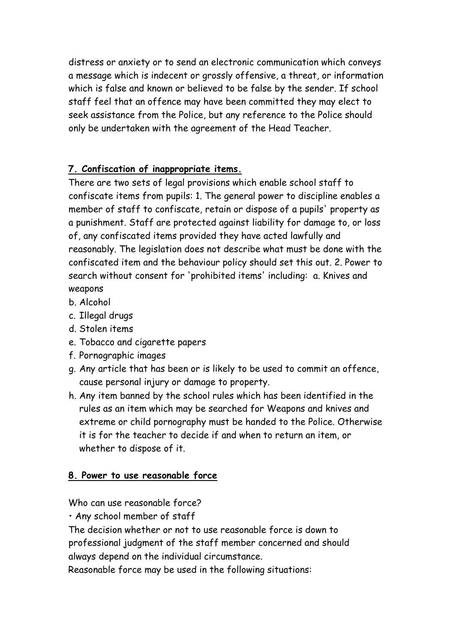distress or anxiety or to send an electronic communication which conveys a message which is indecent or grossly offensive, a threat, or information which is false and known or believed to be false by the sender. If school staff feel that an offence may have been committed they may elect to seek assistance from the Police, but any reference to the Police should only be undertaken with the agreement of the Head Teacher.

# **7. Confiscation of inappropriate items.**

There are two sets of legal provisions which enable school staff to confiscate items from pupils: 1. The general power to discipline enables a member of staff to confiscate, retain or dispose of a pupils' property as a punishment. Staff are protected against liability for damage to, or loss of, any confiscated items provided they have acted lawfully and reasonably. The legislation does not describe what must be done with the confiscated item and the behaviour policy should set this out. 2. Power to search without consent for 'prohibited items' including: a. Knives and weapons

- b. Alcohol
- c. Illegal drugs
- d. Stolen items
- e. Tobacco and cigarette papers
- f. Pornographic images
- g. Any article that has been or is likely to be used to commit an offence, cause personal injury or damage to property.
- h. Any item banned by the school rules which has been identified in the rules as an item which may be searched for Weapons and knives and extreme or child pornography must be handed to the Police. Otherwise it is for the teacher to decide if and when to return an item, or whether to dispose of it.

# **8. Power to use reasonable force**

Who can use reasonable force?

• Any school member of staff

The decision whether or not to use reasonable force is down to professional judgment of the staff member concerned and should always depend on the individual circumstance.

Reasonable force may be used in the following situations: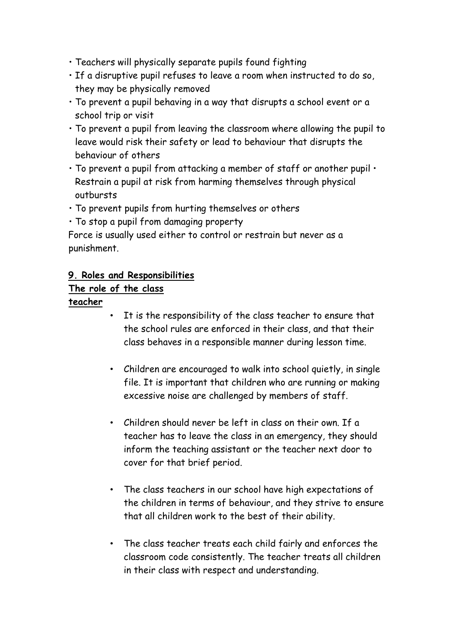- Teachers will physically separate pupils found fighting
- If a disruptive pupil refuses to leave a room when instructed to do so, they may be physically removed
- To prevent a pupil behaving in a way that disrupts a school event or a school trip or visit
- To prevent a pupil from leaving the classroom where allowing the pupil to leave would risk their safety or lead to behaviour that disrupts the behaviour of others
- $\cdot$  To prevent a pupil from attacking a member of staff or another pupil  $\cdot$ Restrain a pupil at risk from harming themselves through physical outbursts
- To prevent pupils from hurting themselves or others
- To stop a pupil from damaging property

Force is usually used either to control or restrain but never as a punishment.

### **9. Roles and Responsibilities**

# **The role of the class**

### **teacher**

- It is the responsibility of the class teacher to ensure that the school rules are enforced in their class, and that their class behaves in a responsible manner during lesson time.
- Children are encouraged to walk into school quietly, in single file. It is important that children who are running or making excessive noise are challenged by members of staff.
- Children should never be left in class on their own. If a teacher has to leave the class in an emergency, they should inform the teaching assistant or the teacher next door to cover for that brief period.
- The class teachers in our school have high expectations of the children in terms of behaviour, and they strive to ensure that all children work to the best of their ability.
- The class teacher treats each child fairly and enforces the classroom code consistently. The teacher treats all children in their class with respect and understanding.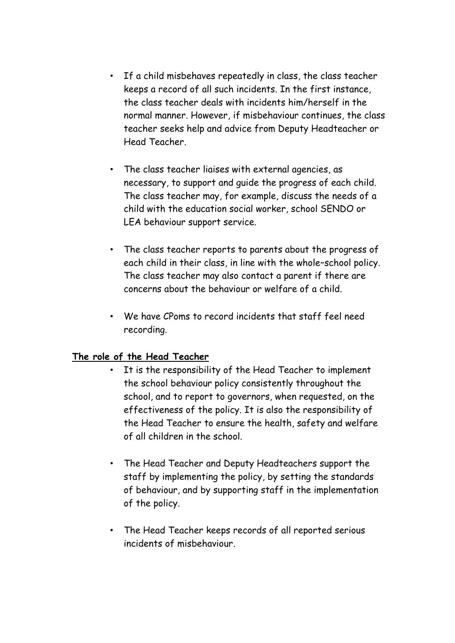- If a child misbehaves repeatedly in class, the class teacher keeps a record of all such incidents. In the first instance, the class teacher deals with incidents him/herself in the normal manner. However, if misbehaviour continues, the class teacher seeks help and advice from Deputy Headteacher or Head Teacher.
- The class teacher liaises with external agencies, as necessary, to support and guide the progress of each child. The class teacher may, for example, discuss the needs of a child with the education social worker, school SENDO or LEA behaviour support service.
- The class teacher reports to parents about the progress of each child in their class, in line with the whole–school policy. The class teacher may also contact a parent if there are concerns about the behaviour or welfare of a child.
- We have CPoms to record incidents that staff feel need recording.

### **The role of the Head Teacher**

- It is the responsibility of the Head Teacher to implement the school behaviour policy consistently throughout the school, and to report to governors, when requested, on the effectiveness of the policy. It is also the responsibility of the Head Teacher to ensure the health, safety and welfare of all children in the school.
- The Head Teacher and Deputy Headteachers support the staff by implementing the policy, by setting the standards of behaviour, and by supporting staff in the implementation of the policy.
- The Head Teacher keeps records of all reported serious incidents of misbehaviour.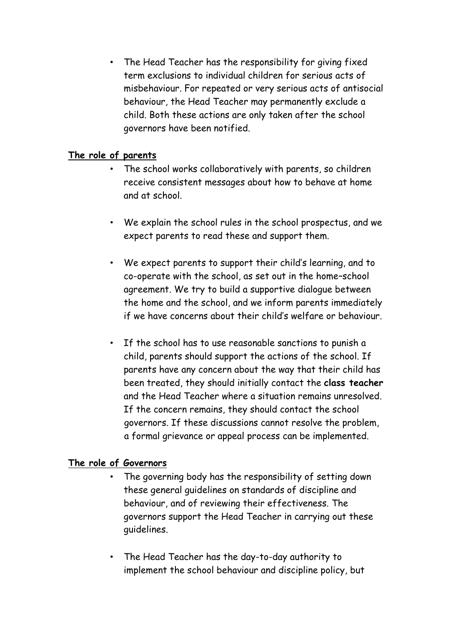• The Head Teacher has the responsibility for giving fixed term exclusions to individual children for serious acts of misbehaviour. For repeated or very serious acts of antisocial behaviour, the Head Teacher may permanently exclude a child. Both these actions are only taken after the school governors have been notified.

### **The role of parents**

- The school works collaboratively with parents, so children receive consistent messages about how to behave at home and at school.
- We explain the school rules in the school prospectus, and we expect parents to read these and support them.
- We expect parents to support their child's learning, and to co-operate with the school, as set out in the home–school agreement. We try to build a supportive dialogue between the home and the school, and we inform parents immediately if we have concerns about their child's welfare or behaviour.
- If the school has to use reasonable sanctions to punish a child, parents should support the actions of the school. If parents have any concern about the way that their child has been treated, they should initially contact the **class teacher** and the Head Teacher where a situation remains unresolved. If the concern remains, they should contact the school governors. If these discussions cannot resolve the problem, a formal grievance or appeal process can be implemented.

#### **The role of Governors**

- The governing body has the responsibility of setting down these general guidelines on standards of discipline and behaviour, and of reviewing their effectiveness. The governors support the Head Teacher in carrying out these guidelines.
- The Head Teacher has the day-to-day authority to implement the school behaviour and discipline policy, but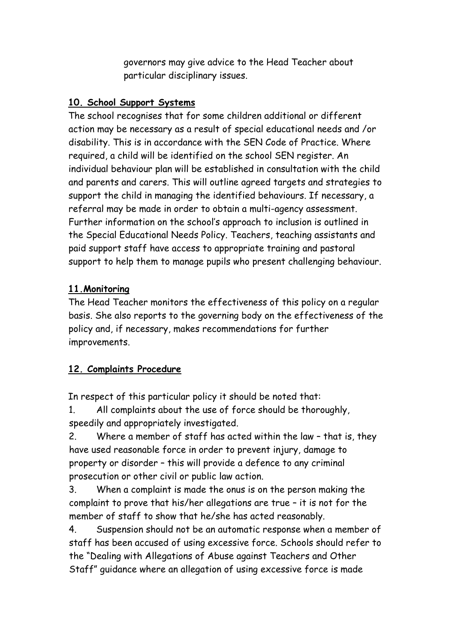governors may give advice to the Head Teacher about particular disciplinary issues.

## **10. School Support Systems**

The school recognises that for some children additional or different action may be necessary as a result of special educational needs and /or disability. This is in accordance with the SEN Code of Practice. Where required, a child will be identified on the school SEN register. An individual behaviour plan will be established in consultation with the child and parents and carers. This will outline agreed targets and strategies to support the child in managing the identified behaviours. If necessary, a referral may be made in order to obtain a multi-agency assessment. Further information on the school's approach to inclusion is outlined in the Special Educational Needs Policy. Teachers, teaching assistants and paid support staff have access to appropriate training and pastoral support to help them to manage pupils who present challenging behaviour.

### **11.Monitoring**

The Head Teacher monitors the effectiveness of this policy on a regular basis. She also reports to the governing body on the effectiveness of the policy and, if necessary, makes recommendations for further improvements.

# **12. Complaints Procedure**

In respect of this particular policy it should be noted that:

1. All complaints about the use of force should be thoroughly, speedily and appropriately investigated.

2. Where a member of staff has acted within the law – that is, they have used reasonable force in order to prevent injury, damage to property or disorder – this will provide a defence to any criminal prosecution or other civil or public law action.

3. When a complaint is made the onus is on the person making the complaint to prove that his/her allegations are true – it is not for the member of staff to show that he/she has acted reasonably.

4. Suspension should not be an automatic response when a member of staff has been accused of using excessive force. Schools should refer to the "Dealing with Allegations of Abuse against Teachers and Other Staff" guidance where an allegation of using excessive force is made